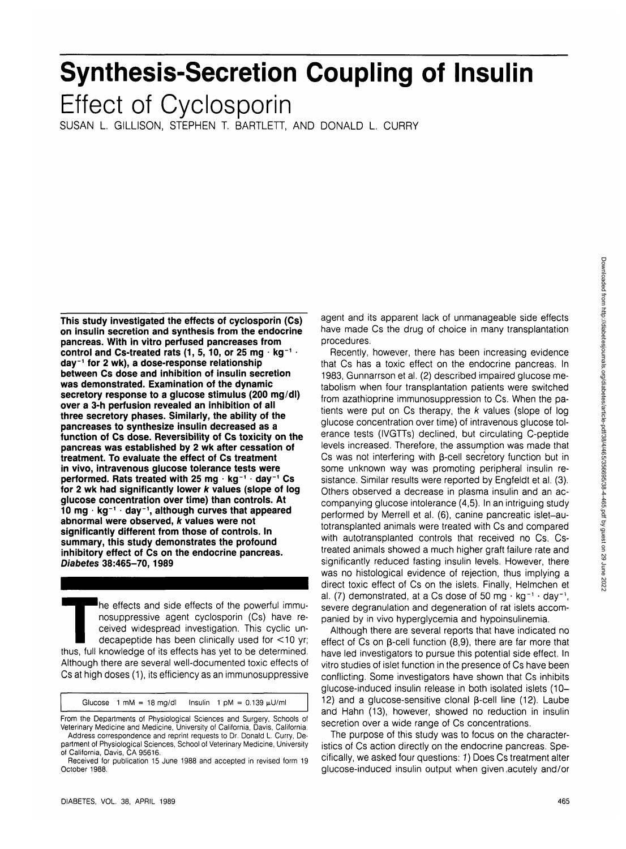## October 1988.

DIABETES, VOL. 38, APRIL 1989 465

California, Davis, CA 95616.

# **Synthesis-Secretion Coupling of Insulin**

Effect of Cyclosporin

SUSAN L. GILLISON, STEPHEN T. BARTLETT, AND DONALD L. CURRY

**This study investigated the effects of cyclosporin (Cs) on insulin secretion and synthesis from the endocrine pancreas. With in vitro perfused pancreases from** control and Cs-treated rats (1, 5, 10, or 25 mg · kg<sup>-1</sup> · **day<sup>1</sup> for 2 wk), a dose-response relationship between Cs dose and inhibition of insulin secretion was demonstrated. Examination of the dynamic secretory response to a glucose stimulus (200 mg/dl) over a 3-h perfusion revealed an inhibition of all three secretory phases. Similarly, the ability of the pancreases to synthesize insulin decreased as a function of Cs dose. Reversibility of Cs toxicity on the pancreas was established by 2 wk after cessation of treatment. To evaluate the effect of Cs treatment in vivo, intravenous glucose tolerance tests were performed. Rats treated with 25 mg · kg<sup>-1</sup> · day<sup>-1</sup> Cs for 2 wk had significantly lower k values (slope of log glucose concentration over time) than controls. At 10 mg • kg"<sup>1</sup> • day<sup>1</sup> , although curves that appeared abnormal were observed, k values were not significantly different from those of controls. In summary, this study demonstrates the profound inhibitory effect of Cs on the endocrine pancreas. Diabetes 38:465-70,1989**

Ine effects and side effects of the powerful immunosuppressive agent cyclosporin (Cs) have received widespread investigation. This cyclic undecapeptide has been clinically used for  $\lt$ 10 yr; thus, full knowledge of its effects has yet to be determined. Although there are several well-documented toxic effects of Cs at high doses (1), its efficiency as an immunosuppressive

Glucose  $1 \text{ mM} = 18 \text{ mg/d}$  Insulin  $1 \text{ pM} = 0.139 \text{ }\mu\text{U/ml}$ From the Departments of Physiological Sciences and Surgery, Schools of Veterinary Medicine and Medicine, University of California, Davis, California. Address correspondence and reprint requests to Dr. Donald L. Curry, Department of Physiological Sciences, School of Veterinary Medicine, University

Received for publication 15 June 1988 and accepted in revised form 19

agent and its apparent lack of unmanageable side effects have made Cs the drug of choice in many transplantation procedures.

Recently, however, there has been increasing evidence that Cs has a toxic effect on the endocrine pancreas. In 1983, Gunnarrson et al. (2) described impaired glucose metabolism when four transplantation patients were switched from azathioprine immunosuppression to Cs. When the patients were put on  $Cs$  therapy, the  $k$  values (slope of log glucose concentration over time) of intravenous glucose tolerance tests (IVGTTs) declined, but circulating C-peptide levels increased. Therefore, the assumption was made that Cs was not interfering with B-cell secretory function but in some unknown way was promoting peripheral insulin resistance. Similar results were reported by Engfeldt et al. (3). Others observed a decrease in plasma insulin and an accompanying glucose intolerance (4,5). In an intriguing study performed by Merrell et al. (6), canine pancreatic islet—autotransplanted animals were treated with Cs and compared with autotransplanted controls that received no Cs. Cstreated animals showed a much higher graft failure rate and significantly reduced fasting insulin levels. However, there was no histological evidence of rejection, thus implying a direct toxic effect of Cs on the islets. Finally, Helmchen et al. (7) demonstrated, at a Cs dose of 50 mg  $\cdot$  kg<sup>-1</sup>  $\cdot$  day<sup>-1</sup>, severe degranulation and degeneration of rat islets accompanied by in vivo hyperglycemia and hypoinsulinemia.

Although there are several reports that have indicated no effect of Cs on  $\beta$ -cell function (8,9), there are far more that have led investigators to pursue this potential side effect. In vitro studies of islet function in the presence of Cs have been conflicting. Some investigators have shown that Cs inhibits glucose-induced insulin release in both isolated islets (10- 12) and a glucose-sensitive clonal  $\beta$ -cell line (12). Laube and Hahn (13), however, showed no reduction in insulin secretion over a wide range of Cs concentrations.

The purpose of this study was to focus on the characteristics of Cs action directly on the endocrine pancreas. Specifically, we asked four questions: 1) Does Cs treatment alter glucose-induced insulin output when given .acutely and/or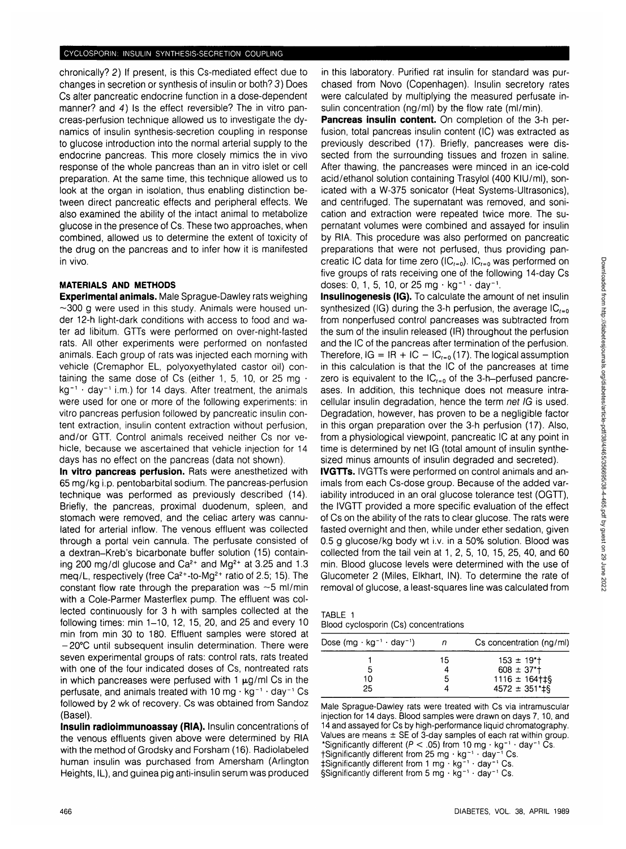chronically? 2) If present, is this Cs-mediated effect due to changes in secretion or synthesis of insulin or both? 3) Does Cs alter pancreatic endocrine function in a dose-dependent manner? and 4) Is the effect reversible? The in vitro pancreas-perfusion technique allowed us to investigate the dynamics of insulin synthesis-secretion coupling in response to glucose introduction into the normal arterial supply to the endocrine pancreas. This more closely mimics the in vivo response of the whole pancreas than an in vitro islet or cell preparation. At the same time, this technique allowed us to look at the organ in isolation, thus enabling distinction between direct pancreatic effects and peripheral effects. We also examined the ability of the intact animal to metabolize glucose in the presence of Cs. These two approaches, when combined, allowed us to determine the extent of toxicity of the drug on the pancreas and to infer how it is manifested in vivo.

#### **MATERIALS AND METHODS**

**Experimental animals.** Male Sprague-Dawley rats weighing  $\sim$ 300 g were used in this study. Animals were housed under 12-h light-dark conditions with access to food and water ad libitum. GTTs were performed on over-night-fasted rats. All other experiments were performed on nonfasted animals. Each group of rats was injected each morning with vehicle (Cremaphor EL, polyoxyethylated castor oil) containing the same dose of Cs (either 1, 5, 10, or 25 mg  $\cdot$  $kg^{-1}$   $\cdot$  day<sup>-1</sup> i.m.) for 14 days. After treatment, the animals were used for one or more of the following experiments: in vitro pancreas perfusion followed by pancreatic insulin content extraction, insulin content extraction without perfusion, and/or GTT. Control animals received neither Cs nor vehicle, because we ascertained that vehicle injection for 14 days has no effect on the pancreas (data not shown).

**In vitro pancreas perfusion.** Rats were anesthetized with 65 mg/kg i.p. pentobarbital sodium. The pancreas-perfusion technique was performed as previously described (14). Briefly, the pancreas, proximal duodenum, spleen, and stomach were removed, and the celiac artery was cannulated for arterial inflow. The venous effluent was collected through a portal vein cannula. The perfusate consisted of a dextran-Kreb's bicarbonate buffer solution (15) containing 200 mg/dl glucose and Ca<sup>2+</sup> and Mg<sup>2+</sup> at 3.25 and 1.3 mg and mag bar good of the Ca<sup>2+</sup>-to-Mg<sup>2+</sup> ratio of 2.5; 15). The constant flow rate through the preparation was  $\sim$  5 ml/min with a Cole-Parmer Masterflex pump. The effluent was collected continuously for 3 h with samples collected at the following times: min 1-10, 12, 15, 20, and 25 and every 10 min from min 30 to 180. Effluent samples were stored at -20°C until subsequent insulin determination. There were seven experimental groups of rats: control rats, rats treated with one of the four indicated doses of Cs, nontreated rats in which pancreases were perfused with 1  $\mu$ g/ml Cs in the perfusate, and animals treated with  $10 \text{ ma} \cdot \text{ka}^{-1} \cdot \text{day}^{-1} \text{ Cs}$ followed by 2 wk of recovery. Cs was obtained from Sandoz (Basel).

**Insulin radioimmunoassay (RIA).** Insulin concentrations of the venous effluents given above were determined by RIA with the method of Grodsky and Forsham (16). Radiolabeled human insulin was purchased from Amersham (Arlington Heights, IL), and guinea pig anti-insulin serum was produced

in this laboratory. Purified rat insulin for standard was purchased from Novo (Copenhagen). Insulin secretory rates were calculated by multiplying the measured perfusate insulin concentration (ng/ml) by the flow rate (ml/min).

**Pancreas insulin content.** On completion of the 3-h perfusion, total pancreas insulin content (IC) was extracted as previously described (17). Briefly, pancreases were dissected from the surrounding tissues and frozen in saline. After thawing, the pancreases were minced in an ice-cold acid/ethanol solution containing Trasylol (400 KlU/ml), sonicated with a W-375 sonicator (Heat Systems-Ultrasonics), and centrifuged. The supernatant was removed, and sonication and extraction were repeated twice more. The supernatant volumes were combined and assayed for insulin by RIA. This procedure was also performed on pancreatic preparations that were not perfused, thus providing pancreatic IC data for time zero (IC $_{t=0}$ ). IC $_{t=0}$  was performed on five groups of rats receiving one of the following 14-day Cs doses: 0, 1,5, 10, or 25 mg • kg"<sup>1</sup> • day"<sup>1</sup> .

**Insulinogenesis (IG).** To calculate the amount of net insulin synthesized (IG) during the 3-h perfusion, the average  $IC_{t=0}$ from nonperfused control pancreases was subtracted from the sum of the insulin released (IR) throughout the perfusion and the IC of the pancreas after termination of the perfusion. Therefore,  $IG = IR + IC - IC_{t=0}$  (17). The logical assumption in this calculation is that the IC of the pancreases at time zero is equivalent to the  $IC_{t=0}$  of the 3-h-perfused pancreases. In addition, this technique does not measure intracellular insulin degradation, hence the term net IG is used. Degradation, however, has proven to be a negligible factor in this organ preparation over the 3-h perfusion (17). Also, from a physiological viewpoint, pancreatic IC at any point in  $t$  in the proportion of the symptomic, pairwise in the distribution of  $t$  insuling  $t$ time is determined by net IG (total amount of insulin synthesized minus amounts of insulin degraded and secreted).

**IVGTTs.** IVGTTs were performed on control animals and animals from each Cs-dose group. Because of the added variability introduced in an oral glucose tolerance test (OGTT), the IVGTT provided a more specific evaluation of the effect of Cs on the ability of the rats to clear glucose. The rats were fasted overnight and then, while under ether sedation, given rasted overring it and then, write under ether sedation, given 0.5 g glucose/kg body wt i.v. in a 50% solution. Blood was collected from the tail vein at 1, 2, 5, 10, 15, 25, 40, and 60 min. Blood glucose levels were determined with the use of Glucometer 2 (Miles, Elkhart, IN). To determine the rate of removal of glucose, a least-squares line was calculated from

| TABLE 1 |                                       |
|---------|---------------------------------------|
|         | Blood cyclosporin (Cs) concentrations |

| Dose $(mg \cdot kg^{-1} \cdot day^{-1})$ |    | Cs concentration (ng/ml)    |
|------------------------------------------|----|-----------------------------|
|                                          | 15 | $153 \pm 19$ <sup>*</sup> t |
| 5                                        |    | $608 \pm 37$ <sup>*</sup>   |
| 10                                       | 5  | $1116 \pm 164$ $\pm$ \$     |
| 25                                       |    | $4572 \pm 351^{\circ}$ + \$ |

Male Sprague-Dawley rats were treated with Cs via intramuscular injection for 14 days. Blood samples were drawn on days 7,10, and 14 and assayed for Cs by high-performance liquid chromatography. Values are means  $\pm$  SE of 3-day samples of each rat within group. \*Significantly different ( $P < .05$ ) from 10 mg · kg<sup>-1</sup> · day<sup>-1</sup> Cs.<br>†Significantly different from 25 mg · kg<sup>-1</sup> · day<sup>-1</sup> Cs.<br>‡Significantly different from 1 mg · kg<sup>-1</sup> · day<sup>-1</sup> Cs. §Significantly different from 5 mg  $\cdot$  kg<sup>-1</sup>  $\cdot$  day<sup>-1</sup> Cs.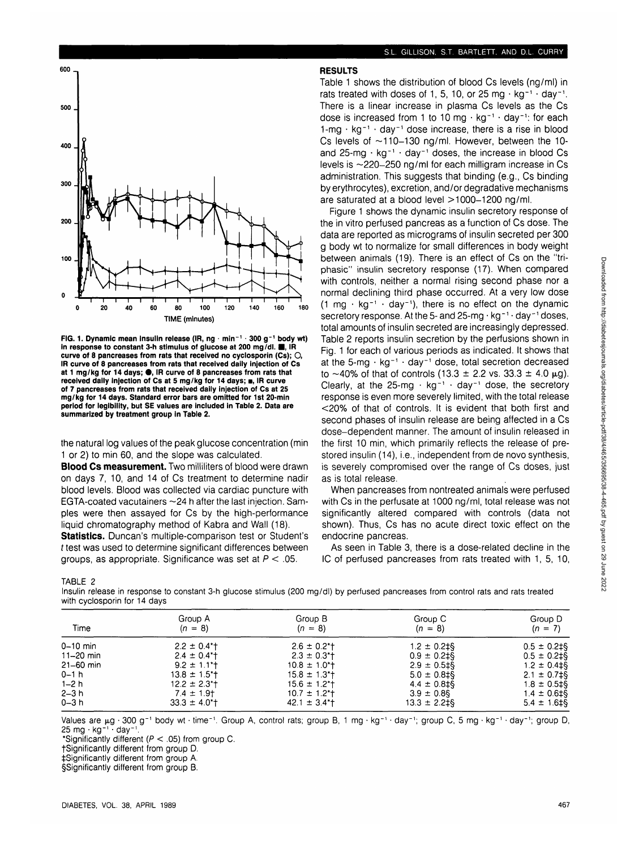

**FIG. 1. Dynamic mean insulin release (IR, ng · min<sup>-1</sup> · 300 g<sup>-1</sup> body wt) in response to constant 3-h stimulus of glucose at 200 mg/dl. ■, IR curve of 8 pancreases from rats that received no cyclosporin (Cs); O, IR curve of 8 pancreases from rats that received daily injection of Cs at 1 mg/kg for 14 days; • , IR curve of 8 pancreases from rats that** received daily injection of Cs at 5 mg/kg for 14 days; **n**, IR curve **of 7 pancreases from rats that received daily injection of Cs at 25 mg/kg for 14 days. Standard error bars are omitted for 1st 20-min period for legibility, but SE values are included in Table 2. Data are summarized by treatment group in Table 2.**

the natural log values of the peak glucose concentration (min 1 or 2) to min 60, and the slope was calculated.

**Blood Cs measurement.** Two milliliters of blood were drawn on days 7, 10, and 14 of Cs treatment to determine nadir blood levels. Blood was collected via cardiac puncture with EGTA-coated vacutainers  $\sim$  24 h after the last injection. Samples were then assayed for Cs by the high-performance liquid chromatography method of Kabra and Wall (18).

**Statistics.** Duncan's multiple-comparison test or Student's  $t$  test was used to determine significant differences between groups, as appropriate. Significance was set at  $P < .05$ .

#### **RESULTS**

Table 1 shows the distribution of blood Cs levels (ng/ml) in rats treated with doses of 1, 5, 10, or 25 mg  $\cdot$  kg<sup>-1</sup>  $\cdot$  day<sup>-1</sup>. There is a linear increase in plasma Cs levels as the Cs dose is increased from 1 to 10 mg  $\cdot$  kg<sup>-1</sup>  $\cdot$  day<sup>-1</sup>: for each  $1$ -mg  $\cdot$  kg<sup>-1</sup>  $\cdot$  day<sup>-1</sup> dose increase, there is a rise in blood Cs levels of  $\sim$ 110-130 ng/ml. However, between the 10and 25-mg  $\cdot$  kg<sup>-1</sup>  $\cdot$  day<sup>-1</sup> doses, the increase in blood Cs levels is  $\sim$ 220 $-250$  ng/ml for each milligram increase in Cs administration. This suggests that binding (e.g., Cs binding by erythrocytes), excretion, and/or degradative mechanisms are saturated at a blood level  $>$  1000-1200 ng/ml.

Figure 1 shows the dynamic insulin secretory response of the in vitro perfused pancreas as a function of Cs dose. The data are reported as micrograms of insulin secreted per 300 g body wt to normalize for small differences in body weight between animals (19). There is an effect of Cs on the "triphasic" insulin secretory response (17). When compared with controls, neither a normal rising second phase nor a normal declining third phase occurred. At a very low dose (1 mg  $\cdot$  kg<sup>-1</sup>  $\cdot$  day<sup>-1</sup>), there is no effect on the dynamic secretory response. At the 5- and  $25$ -mg  $\cdot$  kg<sup>-1</sup> $\cdot$  day<sup>-1</sup> doses, total amounts of insulin secreted are increasingly depressed. Table 2 reports insulin secretion by the perfusions shown in Fig. 1 for each of various periods as indicated. It shows that at the 5-mg · kg<sup>-1</sup> · day<sup>-1</sup> dose, total secretion decreased to  $\sim$ 40% of that of controls (13.3  $\pm$  2.2 vs. 33.3  $\pm$  4.0  $\mu$ g). Clearly, at the 25-mg  $\cdot$  kg<sup>-1</sup>  $\cdot$  day<sup>-1</sup> dose, the secretory response is even more severely limited, with the total release <20% of that of controls. It is evident that both first and second phases of insulin release are being affected in a Cs dose-dependent manner. The amount of insulin released in the first 10 min, which primarily reflects the release of prestored insulin (14), i.e., independent from de novo synthesis, is severely compromised over the range of Cs doses, just as is total release.

When pancreases from nontreated animals were perfused with Cs in the perfusate at 1000 ng/ml, total release was not significantly altered compared with controls (data not shown). Thus, Cs has no acute direct toxic effect on the endocrine pancreas.

As seen in Table 3, there is a dose-related decline in the IC of perfused pancreases from rats treated with 1, 5, 10,

| ABL |  |  |
|-----|--|--|
|-----|--|--|

Insulin release in response to constant 3-h glucose stimulus (200 mg/dl) by perfused pancreases from control rats and rats treated with cyclosporin for 14 days

| Group D          |
|------------------|
| $(n = 7)$        |
| $0.5 \pm 0.2$ ‡§ |
| $0.5 \pm 0.2$ ‡§ |
| $1.2 \pm 0.4$ ‡§ |
| $2.1 \pm 0.7$ ‡§ |
| $1.8 \pm 0.5$ ‡§ |
| $1.4 \pm 0.6$ ‡§ |
| $5.4 \pm 1.6$ ‡§ |
|                  |

Values are µg · 300 g<sup>-1</sup> body wt · time<sup>-1</sup>. Group A, control rats; group B, 1 mg · kg<sup>-1</sup> · day<sup>-1</sup>; group C, 5 mg · kg<sup>-1</sup> · day<sup>-1</sup>; group D, 25 mg · kg <sup>-</sup>' <sup>-</sup> day<sup>-</sup>'.

\*Significantly different ( $P < .05$ ) from group C.

fSignificantly different from group D.

^Significantly different from group A.

§Significantly different from group B.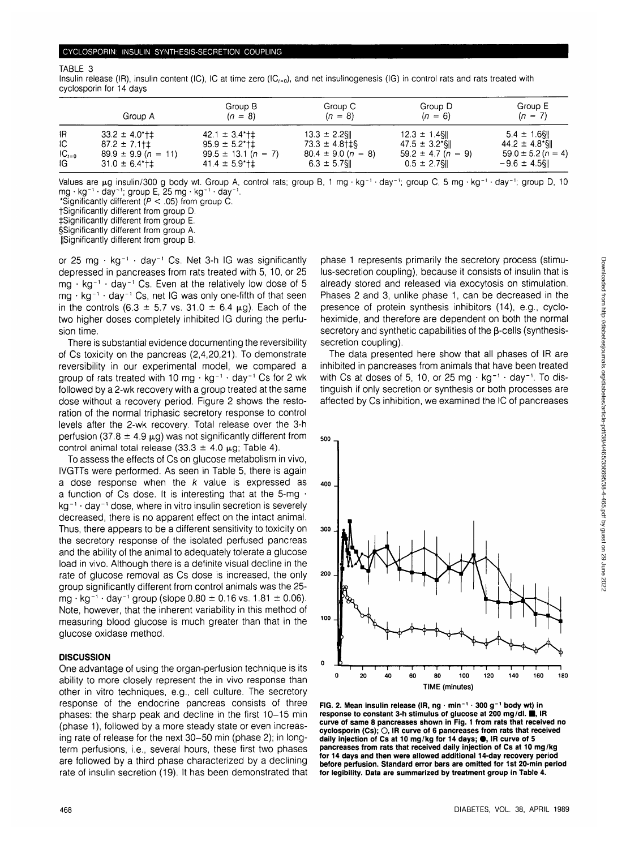#### TABLE 3

Insulin release (IR), insulin content (IC), IC at time zero (IC $_{t=0}$ ), and net insulinogenesis (IG) in control rats and rats treated with cyclosporin for 14 days

|            | Group A                 | Group B<br>$(n = 8)$              | Group C<br>$(n = 8)$   | Group D<br>$(n = 6)$   | Group E<br>$(n = 7)$   |
|------------|-------------------------|-----------------------------------|------------------------|------------------------|------------------------|
| IR.        | $33.2 \pm 4.0$ *† $\pm$ | $42.1 \pm 3.4$ <sup>*</sup> $\pm$ | $13.3 \pm 2.2$ SII     | $12.3 \pm 1.4$ S       | $5.4 \pm 1.6$ SII      |
| IC.        | $87.2 \pm 7.1$ t $\pm$  | $95.9 \pm 5.2$ *†‡                | $73.3 \pm 4.8$ tts     | $47.5 \pm 3.2$ SI      | $44.2 \pm 4.8$ SI      |
| $IC_{t=0}$ | $89.9 \pm 9.9 (n = 11)$ | $99.5 \pm 13.1 (n = 7)$           | $80.4 \pm 9.0 (n = 8)$ | $59.2 \pm 4.7$ (n = 9) | $59.0 \pm 5.2 (n = 4)$ |
| IG.        | $31.0 \pm 6.4$ *†‡      | $41.4 \pm 5.9$ * † ‡              | $6.3 \pm 5.7$ §        | $0.5 \pm 2.7$ SII      | $-9.6 \pm 4.5$ S       |

Values are µg insulin/300 g body wt. Group A, control rats; group B, 1 mg · kg<sup>-1</sup> · day<sup>-1</sup>; group C, 5 mg · kg<sup>-1</sup> · day<sup>-1</sup>; group D, 10 mg • kg'<sup>1</sup> • day'; group E, 25 mg • kg-' • day'.

\*Significantly different (P < .05) from group C.

fSignificantly different from group D.

^Significantly different from group E.

§Significantly different from group A.

ISignificantly different from group B.

or 25 mg · kg<sup>-1</sup> · day<sup>-1</sup> Cs. Net 3-h IG was significantly depressed in pancreases from rats treated with 5, 10, or 25  $mg + kg^{-1} + day^{-1}$  Cs. Even at the relatively low dose of 5 mg · kg<sup>-1</sup> · day<sup>-1</sup> Cs, net IG was only one-fifth of that seen in the controls (6.3  $\pm$  5.7 vs. 31.0  $\pm$  6.4  $\mu$ g). Each of the two higher doses completely inhibited IG during the perfusion time.

There is substantial evidence documenting the reversibility of Cs toxicity on the pancreas (2,4,20,21). To demonstrate reversibility in our experimental model, we compared a group of rats treated with 10 mg  $\cdot$  kg<sup>-1</sup>  $\cdot$  day<sup>-1</sup> Cs for 2 wk followed by a 2-wk recovery with a group treated at the same dose without a recovery period. Figure 2 shows the restoration of the normal triphasic secretory response to control levels after the 2-wk recovery. Total release over the 3-h perfusion (37.8  $\pm$  4.9  $\mu$ a) was not significantly different from control animal total release (33.3  $\pm$  4.0  $\mu$ g; Table 4).

To assess the effects of Cs on glucose metabolism in vivo, IVGTTs were performed. As seen in Table 5, there is again a dose response when the  $k$  value is expressed as a function of Cs dose. It is interesting that at the 5-mg • kg<sup>-1</sup> · day<sup>-1</sup> dose, where in vitro insulin secretion is severely decreased, there is no apparent effect on the intact animal. Thus, there appears to be a different sensitivity to toxicity on the secretory response of the isolated perfused pancreas and the ability of the animal to adequately tolerate a glucose load in vivo. Although there is a definite visual decline in the rate of glucose removal as Cs dose is increased, the only group significantly different from control animals was the 25  $mg \cdot kg^{-1} \cdot day^{-1}$  group (slope 0.80  $\pm$  0.16 vs. 1.81  $\pm$  0.06). Note, however, that the inherent variability in this method of measuring blood glucose is much greater than that in the glucose oxidase method.

#### **DISCUSSION**

One advantage of using the organ-perfusion technique is its ability to more closely represent the in vivo response than other in vitro techniques, e.g., cell culture. The secretory response of the endocrine pancreas consists of three phases: the sharp peak and decline in the first 10-15 min (phase 1), followed by a more steady state or even increasing rate of release for the next 30-50 min (phase 2); in longterm perfusions, i.e., several hours, these first two phases are followed by a third phase characterized by a declining rate of insulin secretion (19). It has been demonstrated that

phase 1 represents primarily the secretory process (stimulus-secretion coupling), because it consists of insulin that is already stored and released via exocytosis on stimulation. Phases 2 and 3, unlike phase 1, can be decreased in the presence of protein synthesis inhibitors (14), e.g., cycloheximide, and therefore are dependent on both the normal secretory and synthetic capabilities of the  $\beta$ -cells (synthesissecretion coupling).

The data presented here show that all phases of IR are inhibited in pancreases from animals that have been treated with Cs at doses of 5, 10, or 25 mg  $\cdot$  kg<sup>-1</sup>  $\cdot$  day<sup>-1</sup>. To distinguish if only secretion or synthesis or both processes are affected by Cs inhibition, we examined the IC of pancreases



**FIG. 2. Mean insulin release (IR, ng • min"<sup>1</sup> • 300 g~<sup>1</sup> body wt) in response to constant 3-h stimulus of glucose at 200 mg/dl. <b>iii**, IR **curve of same 8 pancreases shown in Fig. 1 from rats that received no cyclosporin (Cs); O, IR curve of 6 pancreases from rats that received** daily injection of Cs at 10 mg/kg for 14 days;  $\bullet$ , IR curve of 5 **pancreases from rats that received daily injection of Cs at 10 mg/kg for 14 days and then were allowed additional 14-day recovery period before perfusion. Standard error bars are omitted for 1st 20-min period for legibility. Data are summarized by treatment group in Table 4.**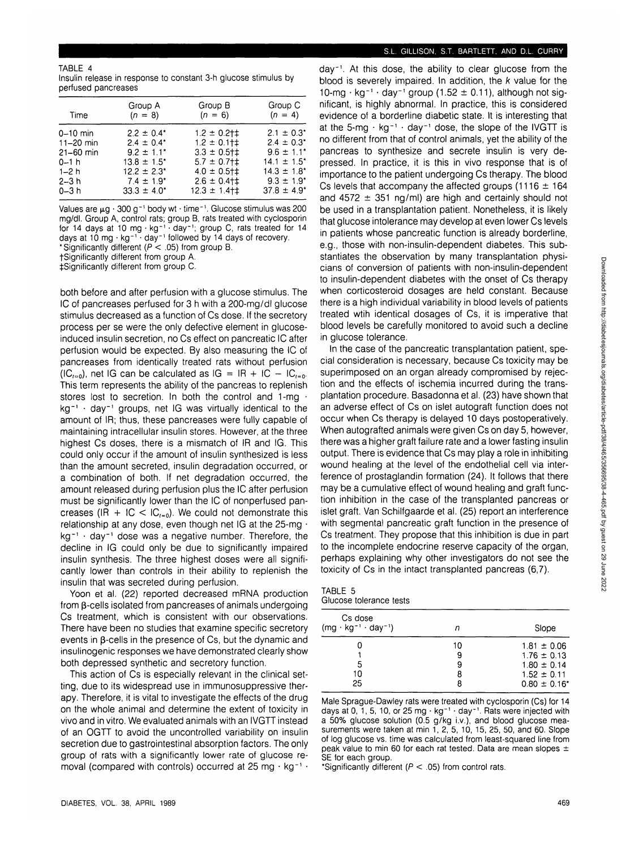TABLE 4 Insulin release in response to constant 3-h glucose stimulus by perfused pancreases

| Time          | Group A<br>$(n = 8)$        | Group B<br>$(n = 6)$   | Group C<br>$(n = 4)$        |
|---------------|-----------------------------|------------------------|-----------------------------|
| $0 - 10$ min  | $2.2 \pm 0.4^*$             | $1.2 \pm 0.2$ † $\pm$  | $2.1 \pm 0.3^*$             |
| $11 - 20$ min | $2.4 \pm 0.4^*$             | $1.2 \pm 0.1$ + $\pm$  | $2.4 \pm 0.3^*$             |
| $21 - 60$ min | $9.2 \pm 1.1$ <sup>*</sup>  | $3.3 \pm 0.5$ †‡       | $9.6 \pm 1.1$ <sup>*</sup>  |
| $0 - 1 h$     | $13.8 \pm 1.5$ <sup>*</sup> | $5.7 \pm 0.7$ + $\pm$  | $14.1 \pm 1.5^*$            |
| $1 - 2h$      | $12.2 \pm 2.3$ *            | $4.0 \pm 0.5$ + $\pm$  | $14.3 \pm 1.8$ <sup>*</sup> |
| $2 - 3 h$     | $7.4 \pm 1.9^*$             | $2.6 \pm 0.4$ + $\pm$  | $9.3 \pm 1.9$ <sup>*</sup>  |
| $0 - 3 h$     | $33.3 \pm 4.0^*$            | $12.3 \pm 1.4$ + $\pm$ | $37.8 \pm 4.9^*$            |

Values are  $\mu$ g · 300 g<sup>-1</sup> body wt · time<sup>-1</sup>. Glucose stimulus was 200 mg/dl. Group A, control rats; group B, rats treated with cyclosporin for 14 days at 10 mg · kg<sup>-1</sup> · day<sup>-1</sup>; group C, rats treated for 14 days at 10 mg  $\cdot$  kg<sup>-1</sup>  $\cdot$  day<sup>-1</sup> followed by 14 days of recovery. Significantly different ( $P < .05$ ) from group B.

fSignificantly different from group A.

^Significantly different from group C.

both before and after perfusion with a glucose stimulus. The IC of pancreases perfused for 3 h with a 200-mg/dl glucose stimulus decreased as a function of Cs dose. If the secretory process per se were the only defective element in glucoseinduced insulin secretion, no Cs effect on pancreatic IC after perfusion would be expected. By also measuring the IC of pancreases from identically treated rats without perfusion  $(IC_{t=0})$ , net IG can be calculated as IG = IR + IC - IC<sub>t=0</sub>. This term represents the ability of the pancreas to replenish stores lost to secretion. In both the control and 1-mg  $\cdot$ kg<sup>-1</sup> · day<sup>-1</sup> groups, net IG was virtually identical to the amount of IR; thus, these pancreases were fully capable of maintaining intracellular insulin stores. However, at the three highest Cs doses, there is a mismatch of IR and IG. This could only occur if the amount of insulin synthesized is less than the amount secreted, insulin degradation occurred, or a combination of both. If net degradation occurred, the amount released during perfusion plus the IC after perfusion must be significantly lower than the IC of nonperfused pancreases (IR + IC <  $IC_{t=0}$ ). We could not demonstrate this relationship at any dose, even though net IG at the 25-mg · kg<sup>-1</sup> · day<sup>-1</sup> dose was a negative number. Therefore, the decline in IG could only be due to significantly impaired insulin synthesis. The three highest doses were all significantly lower than controls in their ability to replenish the insulin that was secreted during perfusion.

Yoon et al. (22) reported decreased mRNA production from p-cells isolated from pancreases of animals undergoing Cs treatment, which is consistent with our observations. There have been no studies that examine specific secretory events in  $\beta$ -cells in the presence of Cs, but the dynamic and insulinogenic responses we have demonstrated clearly show both depressed synthetic and secretory function.

This action of Cs is especially relevant in the clinical setting, due to its widespread use in immunosuppressive therapy. Therefore, it is vital to investigate the effects of the drug on the whole animal and determine the extent of toxicity in vivo and in vitro. We evaluated animals with an IVGTT instead of an OGTT to avoid the uncontrolled variability on insulin secretion due to gastrointestinal absorption factors. The only group of rats with a significantly lower rate of glucose removal (compared with controls) occurred at 25 mg  $\cdot$  kg<sup>-1</sup>  $\cdot$ 

### S.L. GILLISON, S.T. BARTLETT, AND D.L. CURRY

day<sup>-1</sup>. At this dose, the ability to clear glucose from the blood is severely impaired. In addition, the k value for the 10-mg  $\cdot$  kg<sup>-1</sup>  $\cdot$  day<sup>-1</sup> group (1.52  $\pm$  0.11), although not significant, is highly abnormal. In practice, this is considered evidence of a borderline diabetic state. It is interesting that at the 5-mg  $\cdot$  kg<sup>-1</sup>  $\cdot$  day<sup>-1</sup> dose, the slope of the IVGTT is no different from that of control animals, yet the ability of the pancreas to synthesize and secrete insulin is very depressed. In practice, it is this in vivo response that is of importance to the patient undergoing Cs therapy. The blood Cs levels that accompany the affected groups (1116  $\pm$  164 and 4572  $\pm$  351 ng/ml) are high and certainly should not be used in a transplantation patient. Nonetheless, it is likely that glucose intolerance may develop at even lower Cs levels in patients whose pancreatic function is already borderline, e.g., those with non-insulin-dependent diabetes. This substantiates the observation by many transplantation physicians of conversion of patients with non-insulin-dependent to insulin-dependent diabetes with the onset of Cs therapy when corticosteroid dosages are held constant. Because there is a high individual variability in blood levels of patients treated wtih identical dosages of Cs, it is imperative that blood levels be carefully monitored to avoid such a decline in glucose tolerance.

In the case of the pancreatic transplantation patient, special consideration is necessary, because Cs toxicity may be superimposed on an organ already compromised by rejection and the effects of ischemia incurred during the transplantation procedure. Basadonna et al. (23) have shown that an adverse effect of Cs on islet autograft function does not occur when Cs therapy is delayed 10 days postoperatively. When autografted animals were given Cs on day 5, however, there was a higher graft failure rate and a lower fasting insulin output. There is evidence that Cs may play a role in inhibiting wound healing at the level of the endothelial cell via interference of prostaglandin formation (24). It follows that there may be a cumulative effect of wound healing and graft function inhibition in the case of the transplanted pancreas or islet graft. Van Schilfgaarde et al. (25) report an interference with segmental pancreatic graft function in the presence of Cs treatment. They propose that this inhibition is due in part to the incomplete endocrine reserve capacity of the organ, perhaps explaining why other investigators do not see the toxicity of Cs in the intact transplanted pancreas (6,7).

| TABLE 5 |                         |  |
|---------|-------------------------|--|
|         | Glucose tolerance tests |  |

| Cs dose<br>$(mg \cdot kg^{-1} \cdot day^{-1})$ | п  | Slope             |
|------------------------------------------------|----|-------------------|
|                                                | 10 | $1.81 \pm 0.06$   |
|                                                | 9  | $1.76 \pm 0.13$   |
| 5                                              | 9  | $1.80 \pm 0.14$   |
| 10                                             | 8  | $1.52 \pm 0.11$   |
| 25                                             | 8  | $0.80 \pm 0.16^*$ |
|                                                |    |                   |

Male Sprague-Dawley rats were treated with cyclosporin (Cs) for 14 days at 0, 1, 5, 10, or 25 mg  $\cdot$  kg<sup>-1</sup>  $\cdot$  day<sup>-1</sup>. Rats were injected with a 50% glucose solution (0.5 g/kg i.v.), and blood glucose measurements were taken at min 1, 2, 5, 10, 15, 25, 50, and 60. Slope of log glucose vs. time was calculated from least-squared line from peak value to min 60 for each rat tested. Data are mean slopes  $\pm$ SE for each group.

\*Significantly different ( $P < .05$ ) from control rats.